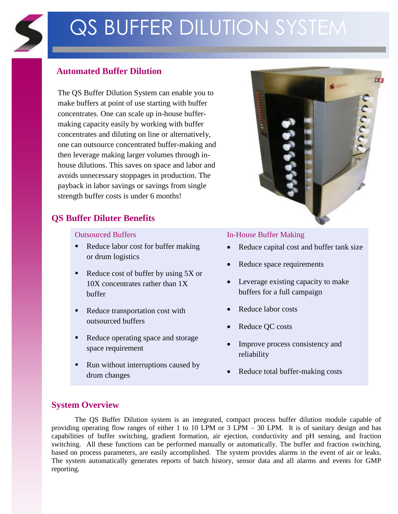# QS BUFFER DILUTION SYSTEM

# **Automated Buffer Dilution**

The QS Buffer Dilution System can enable you to make buffers at point of use starting with buffer concentrates. One can scale up in-house buffermaking capacity easily by working with buffer concentrates and diluting on line or alternatively, one can outsource concentrated buffer-making and then leverage making larger volumes through inhouse dilutions. This saves on space and labor and avoids unnecessary stoppages in production. The payback in labor savings or savings from single strength buffer costs is under 6 months!

# **QS Buffer Diluter Benefits**

- Reduce labor cost for buffer making or drum logistics
- Reduce cost of buffer by using  $5X$  or 10X concentrates rather than 1X buffer
- Reduce transportation cost with outsourced buffers
- Reduce operating space and storage space requirement
- Run without interruptions caused by drum changes



#### Outsourced Buffers **In-House Buffer Making**

- Reduce capital cost and buffer tank size
- Reduce space requirements
- Leverage existing capacity to make buffers for a full campaign
- Reduce labor costs
- Reduce QC costs
- Improve process consistency and reliability
- Reduce total buffer-making costs

# **System Overview**

The QS Buffer Dilution system is an integrated, compact process buffer dilution module capable of providing operating flow ranges of either 1 to 10 LPM or 3 LPM – 30 LPM. It is of sanitary design and has capabilities of buffer switching, gradient formation, air ejection, conductivity and pH sensing, and fraction switching. All these functions can be performed manually or automatically. The buffer and fraction switching, based on process parameters, are easily accomplished. The system provides alarms in the event of air or leaks. The system automatically generates reports of batch history, sensor data and all alarms and events for GMP reporting.